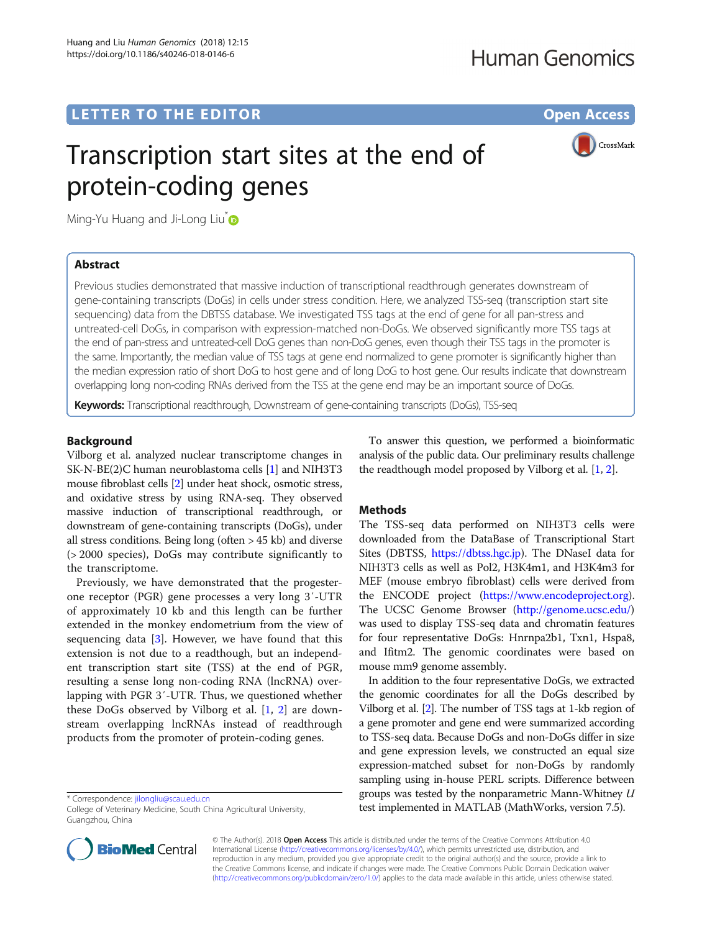## **LETTER TO THE EDITOR CONSIDERING ACCESS**

CrossMark

# Transcription start sites at the end of protein-coding genes

Ming-Yu Huang and Ji-Long Liu<sup>t</sup>

## Abstract

Previous studies demonstrated that massive induction of transcriptional readthrough generates downstream of gene-containing transcripts (DoGs) in cells under stress condition. Here, we analyzed TSS-seq (transcription start site sequencing) data from the DBTSS database. We investigated TSS tags at the end of gene for all pan-stress and untreated-cell DoGs, in comparison with expression-matched non-DoGs. We observed significantly more TSS tags at the end of pan-stress and untreated-cell DoG genes than non-DoG genes, even though their TSS tags in the promoter is the same. Importantly, the median value of TSS tags at gene end normalized to gene promoter is significantly higher than the median expression ratio of short DoG to host gene and of long DoG to host gene. Our results indicate that downstream overlapping long non-coding RNAs derived from the TSS at the gene end may be an important source of DoGs.

Keywords: Transcriptional readthrough, Downstream of gene-containing transcripts (DoGs), TSS-seq

## Background

Vilborg et al. analyzed nuclear transcriptome changes in SK-N-BE(2)C human neuroblastoma cells [[1](#page-2-0)] and NIH3T3 mouse fibroblast cells [\[2](#page-2-0)] under heat shock, osmotic stress, and oxidative stress by using RNA-seq. They observed massive induction of transcriptional readthrough, or downstream of gene-containing transcripts (DoGs), under all stress conditions. Being long (often > 45 kb) and diverse (> 2000 species), DoGs may contribute significantly to the transcriptome.

Previously, we have demonstrated that the progesterone receptor (PGR) gene processes a very long 3′-UTR of approximately 10 kb and this length can be further extended in the monkey endometrium from the view of sequencing data  $[3]$  $[3]$ . However, we have found that this extension is not due to a readthough, but an independent transcription start site (TSS) at the end of PGR, resulting a sense long non-coding RNA (lncRNA) overlapping with PGR 3′-UTR. Thus, we questioned whether these DoGs observed by Vilborg et al. [[1,](#page-2-0) [2\]](#page-2-0) are downstream overlapping lncRNAs instead of readthrough products from the promoter of protein-coding genes.



## **Methods**

The TSS-seq data performed on NIH3T3 cells were downloaded from the DataBase of Transcriptional Start Sites (DBTSS, [https://dbtss.hgc.jp\)](https://dbtss.hgc.jp). The DNaseI data for NIH3T3 cells as well as Pol2, H3K4m1, and H3K4m3 for MEF (mouse embryo fibroblast) cells were derived from the ENCODE project [\(https://www.encodeproject.org](https://www.encodeproject.org)). The UCSC Genome Browser [\(http://genome.ucsc.edu/](http://genome.ucsc.edu/)) was used to display TSS-seq data and chromatin features for four representative DoGs: Hnrnpa2b1, Txn1, Hspa8, and Ifitm2. The genomic coordinates were based on mouse mm9 genome assembly.

In addition to the four representative DoGs, we extracted the genomic coordinates for all the DoGs described by Vilborg et al. [\[2\]](#page-2-0). The number of TSS tags at 1-kb region of a gene promoter and gene end were summarized according to TSS-seq data. Because DoGs and non-DoGs differ in size and gene expression levels, we constructed an equal size expression-matched subset for non-DoGs by randomly sampling using in-house PERL scripts. Difference between groups was tested by the nonparametric Mann-Whitney  $U$ test implemented in MATLAB (MathWorks, version 7.5).<br>College of Veterinary Medicine, South China Agricultural University, external the stated in MATLAB (MathWorks, version 7.5).



© The Author(s). 2018 Open Access This article is distributed under the terms of the Creative Commons Attribution 4.0 International License [\(http://creativecommons.org/licenses/by/4.0/](http://creativecommons.org/licenses/by/4.0/)), which permits unrestricted use, distribution, and reproduction in any medium, provided you give appropriate credit to the original author(s) and the source, provide a link to the Creative Commons license, and indicate if changes were made. The Creative Commons Public Domain Dedication waiver [\(http://creativecommons.org/publicdomain/zero/1.0/](http://creativecommons.org/publicdomain/zero/1.0/)) applies to the data made available in this article, unless otherwise stated.

College of Veterinary Medicine, South China Agricultural University, Guangzhou, China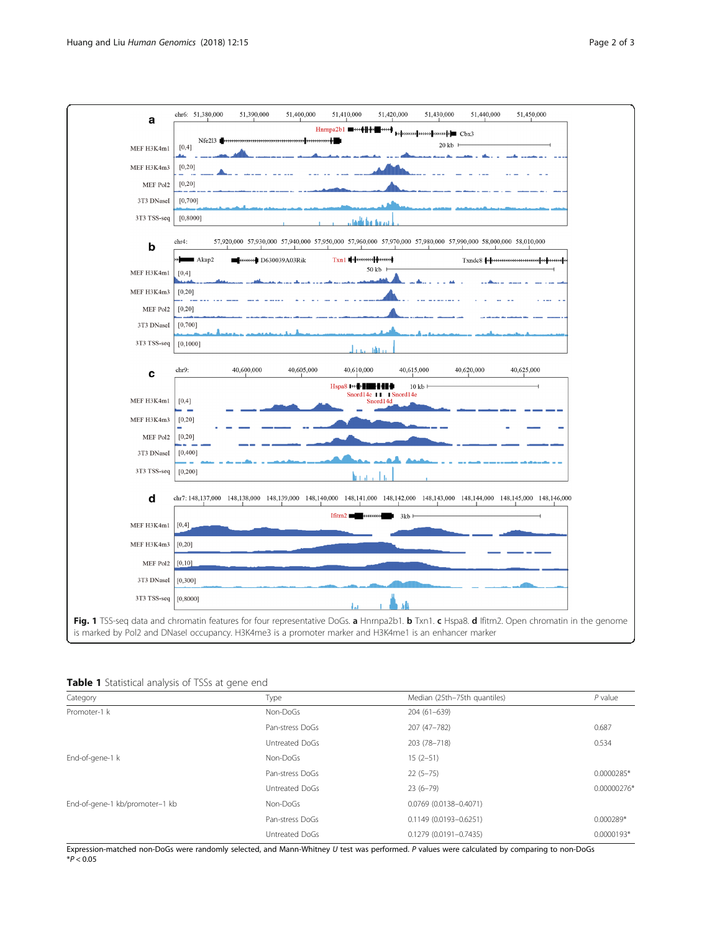

<span id="page-1-0"></span>

| Table 1 Statistical analysis of TSSs at gene end |  |  |  |
|--------------------------------------------------|--|--|--|
|                                                  |  |  |  |

| Category                       | Type            | Median (25th-75th quantiles) | $P$ value    |
|--------------------------------|-----------------|------------------------------|--------------|
| Promoter-1 k                   | Non-DoGs        | 204 (61-639)                 |              |
|                                | Pan-stress DoGs | 207 (47-782)                 | 0.687        |
|                                | Untreated DoGs  | 203 (78-718)                 | 0.534        |
| End-of-gene-1 k                | Non-DoGs        | $15(2-51)$                   |              |
|                                | Pan-stress DoGs | $22(5-75)$                   | 0.0000285*   |
|                                | Untreated DoGs  | $23(6-79)$                   | 0.00000276*  |
| End-of-gene-1 kb/promoter-1 kb | Non-DoGs        | 0.0769 (0.0138-0.4071)       |              |
|                                | Pan-stress DoGs | 0.1149 (0.0193-0.6251)       | $0.000289*$  |
|                                | Untreated DoGs  | $0.1279(0.0191 - 0.7435)$    | $0.0000193*$ |

Expression-matched non-DoGs were randomly selected, and Mann-Whitney U test was performed. P values were calculated by comparing to non-DoGs  $*P < 0.05$